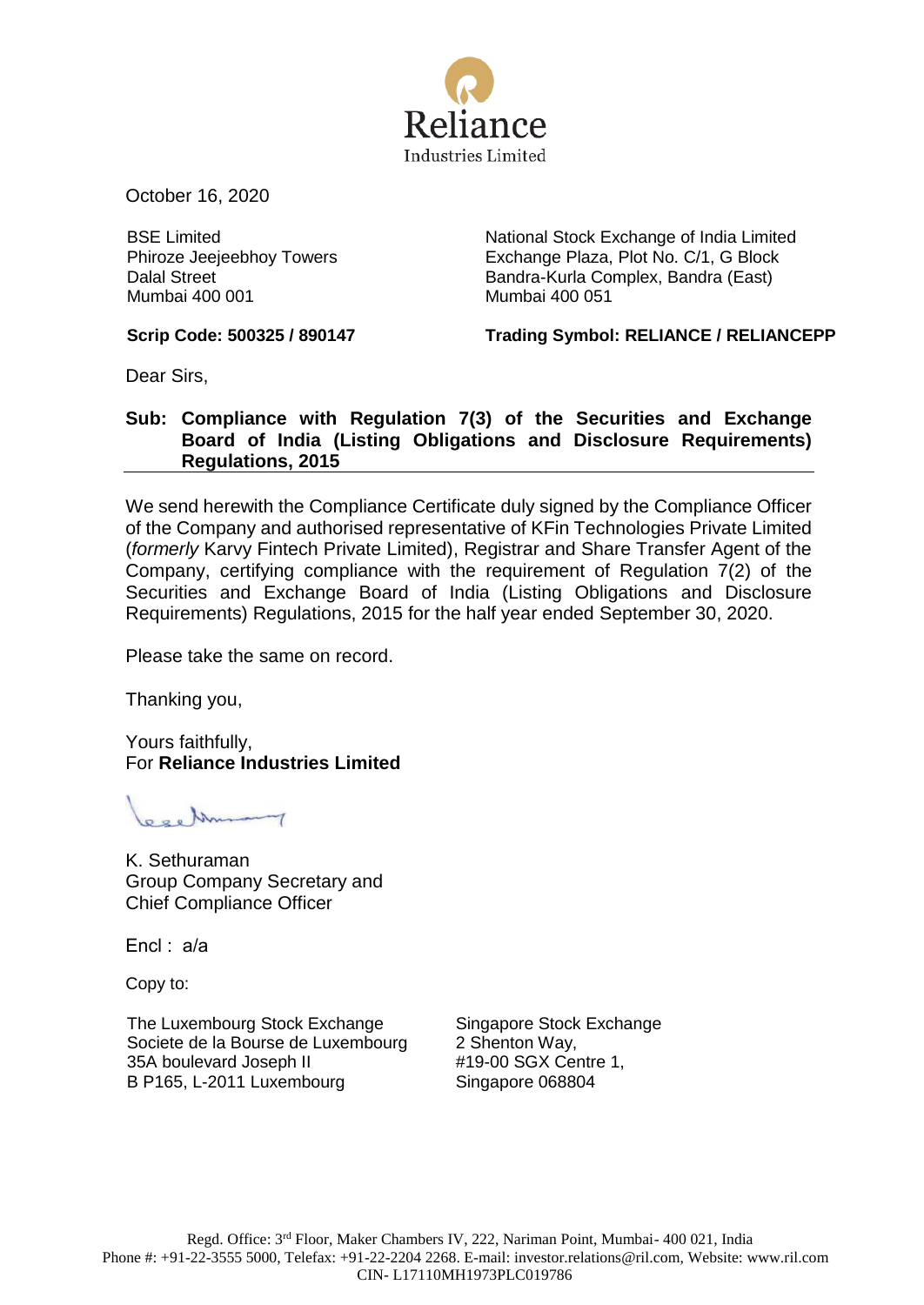

October 16, 2020

BSE Limited Phiroze Jeejeebhoy Towers Dalal Street Mumbai 400 001

National Stock Exchange of India Limited Exchange Plaza, Plot No. C/1, G Block Bandra-Kurla Complex, Bandra (East) Mumbai 400 051

**Scrip Code: 500325 / 890147 Trading Symbol: RELIANCE / RELIANCEPP**

Dear Sirs,

## **Sub: Compliance with Regulation 7(3) of the Securities and Exchange Board of India (Listing Obligations and Disclosure Requirements) Regulations, 2015**

We send herewith the Compliance Certificate duly signed by the Compliance Officer of the Company and authorised representative of KFin Technologies Private Limited (*formerly* Karvy Fintech Private Limited), Registrar and Share Transfer Agent of the Company, certifying compliance with the requirement of Regulation 7(2) of the Securities and Exchange Board of India (Listing Obligations and Disclosure Requirements) Regulations, 2015 for the half year ended September 30, 2020.

Please take the same on record.

Thanking you,

Yours faithfully, For **Reliance Industries Limited**

000 Musamy

K. Sethuraman Group Company Secretary and Chief Compliance Officer

Encl : a/a

Copy to:

The Luxembourg Stock Exchange Societe de la Bourse de Luxembourg 35A boulevard Joseph II B P165, L-2011 Luxembourg

Singapore Stock Exchange 2 Shenton Way, #19-00 SGX Centre 1, Singapore 068804